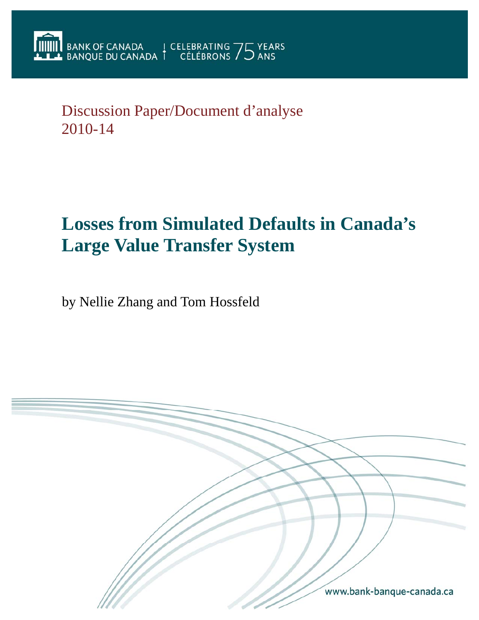Discussion Paper/Document d'analyse 2010-14

# **Losses from Simulated Defaults in Canada's Large Value Transfer System**

by Nellie Zhang and Tom Hossfeld

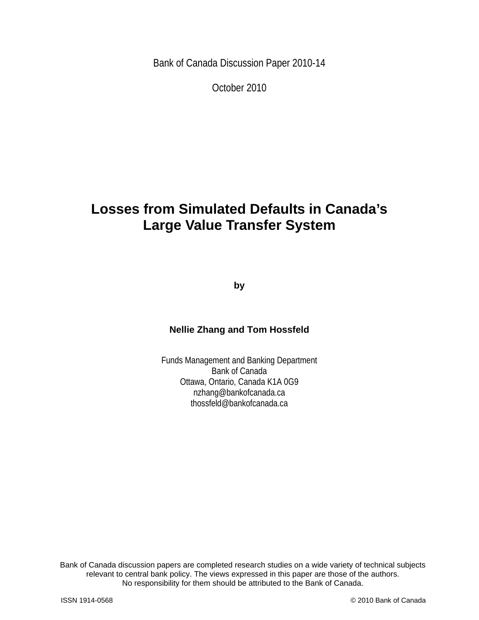Bank of Canada Discussion Paper 2010-14

October 2010

## **Losses from Simulated Defaults in Canada's Large Value Transfer System**

**by** 

## **Nellie Zhang and Tom Hossfeld**

Funds Management and Banking Department Bank of Canada Ottawa, Ontario, Canada K1A 0G9 nzhang@bankofcanada.ca thossfeld@bankofcanada.ca

2 No responsibility for them should be attributed to the Bank of Canada. Bank of Canada discussion papers are completed research studies on a wide variety of technical subjects relevant to central bank policy. The views expressed in this paper are those of the authors.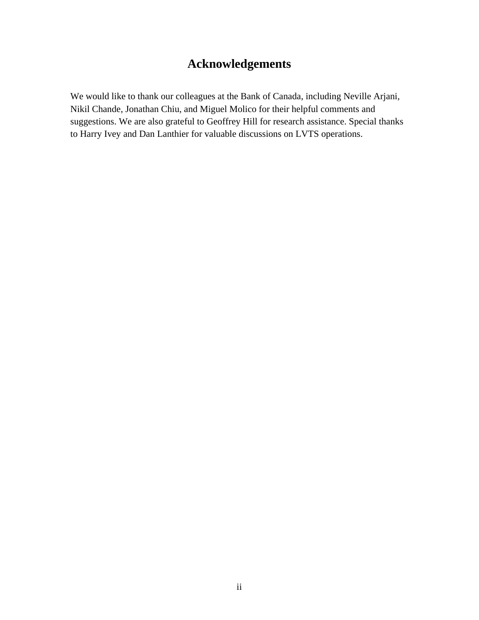## **Acknowledgements**

We would like to thank our colleagues at the Bank of Canada, including Neville Arjani, Nikil Chande, Jonathan Chiu, and Miguel Molico for their helpful comments and suggestions. We are also grateful to Geoffrey Hill for research assistance. Special thanks to Harry Ivey and Dan Lanthier for valuable discussions on LVTS operations.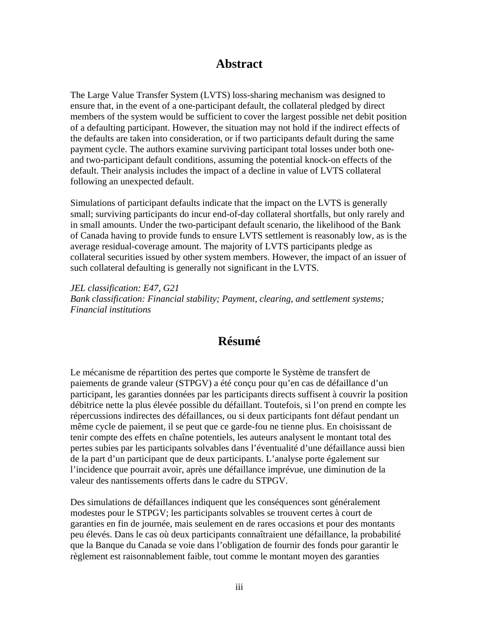## **Abstract**

The Large Value Transfer System (LVTS) loss-sharing mechanism was designed to ensure that, in the event of a one-participant default, the collateral pledged by direct members of the system would be sufficient to cover the largest possible net debit position of a defaulting participant. However, the situation may not hold if the indirect effects of the defaults are taken into consideration, or if two participants default during the same payment cycle. The authors examine surviving participant total losses under both oneand two-participant default conditions, assuming the potential knock-on effects of the default. Their analysis includes the impact of a decline in value of LVTS collateral following an unexpected default.

Simulations of participant defaults indicate that the impact on the LVTS is generally small; surviving participants do incur end-of-day collateral shortfalls, but only rarely and in small amounts. Under the two-participant default scenario, the likelihood of the Bank of Canada having to provide funds to ensure LVTS settlement is reasonably low, as is the average residual-coverage amount. The majority of LVTS participants pledge as collateral securities issued by other system members. However, the impact of an issuer of such collateral defaulting is generally not significant in the LVTS.

*JEL classification: E47, G21 Bank classification: Financial stability; Payment, clearing, and settlement systems; Financial institutions* 

## **Résumé**

Le mécanisme de répartition des pertes que comporte le Système de transfert de paiements de grande valeur (STPGV) a été conçu pour qu'en cas de défaillance d'un participant, les garanties données par les participants directs suffisent à couvrir la position débitrice nette la plus élevée possible du défaillant. Toutefois, si l'on prend en compte les répercussions indirectes des défaillances, ou si deux participants font défaut pendant un même cycle de paiement, il se peut que ce garde-fou ne tienne plus. En choisissant de tenir compte des effets en chaîne potentiels, les auteurs analysent le montant total des pertes subies par les participants solvables dans l'éventualité d'une défaillance aussi bien de la part d'un participant que de deux participants. L'analyse porte également sur l'incidence que pourrait avoir, après une défaillance imprévue, une diminution de la valeur des nantissements offerts dans le cadre du STPGV.

Des simulations de défaillances indiquent que les conséquences sont généralement modestes pour le STPGV; les participants solvables se trouvent certes à court de garanties en fin de journée, mais seulement en de rares occasions et pour des montants peu élevés. Dans le cas où deux participants connaîtraient une défaillance, la probabilité que la Banque du Canada se voie dans l'obligation de fournir des fonds pour garantir le règlement est raisonnablement faible, tout comme le montant moyen des garanties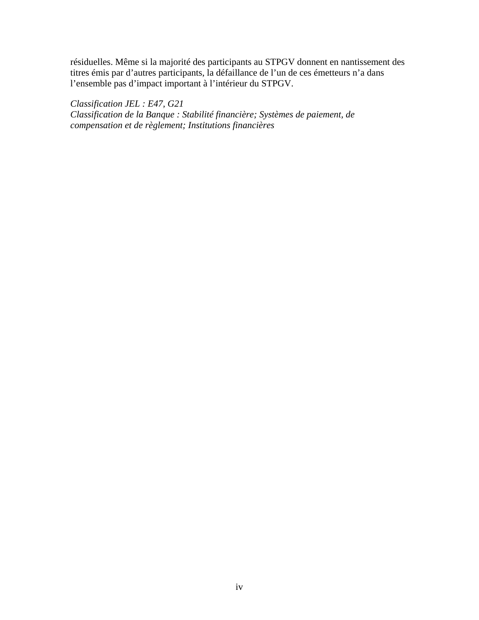résiduelles. Même si la majorité des participants au STPGV donnent en nantissement des titres émis par d'autres participants, la défaillance de l'un de ces émetteurs n'a dans l'ensemble pas d'impact important à l'intérieur du STPGV.

*Classification JEL : E47, G21 Classification de la Banque : Stabilité financière; Systèmes de paiement, de compensation et de règlement; Institutions financières*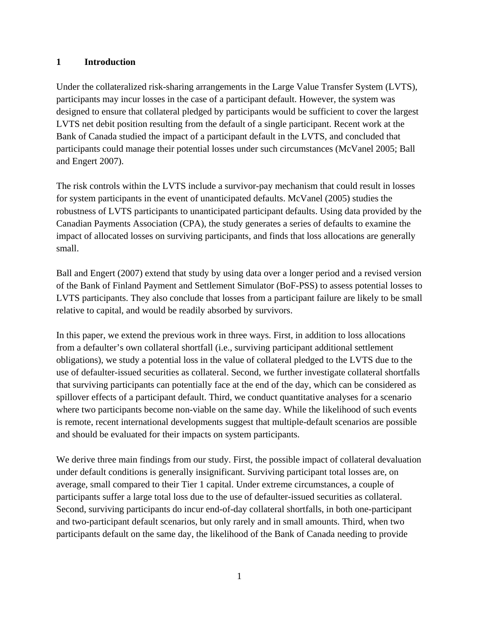#### **1 Introduction**

Under the collateralized risk-sharing arrangements in the Large Value Transfer System (LVTS), participants may incur losses in the case of a participant default. However, the system was designed to ensure that collateral pledged by participants would be sufficient to cover the largest LVTS net debit position resulting from the default of a single participant. Recent work at the Bank of Canada studied the impact of a participant default in the LVTS, and concluded that participants could manage their potential losses under such circumstances (McVanel 2005; Ball and Engert 2007).

The risk controls within the LVTS include a survivor-pay mechanism that could result in losses for system participants in the event of unanticipated defaults. McVanel (2005) studies the robustness of LVTS participants to unanticipated participant defaults. Using data provided by the Canadian Payments Association (CPA), the study generates a series of defaults to examine the impact of allocated losses on surviving participants, and finds that loss allocations are generally small.

Ball and Engert (2007) extend that study by using data over a longer period and a revised version of the Bank of Finland Payment and Settlement Simulator (BoF-PSS) to assess potential losses to LVTS participants. They also conclude that losses from a participant failure are likely to be small relative to capital, and would be readily absorbed by survivors.

In this paper, we extend the previous work in three ways. First, in addition to loss allocations from a defaulter's own collateral shortfall (i.e., surviving participant additional settlement obligations), we study a potential loss in the value of collateral pledged to the LVTS due to the use of defaulter-issued securities as collateral. Second, we further investigate collateral shortfalls that surviving participants can potentially face at the end of the day, which can be considered as spillover effects of a participant default. Third, we conduct quantitative analyses for a scenario where two participants become non-viable on the same day. While the likelihood of such events is remote, recent international developments suggest that multiple-default scenarios are possible and should be evaluated for their impacts on system participants.

We derive three main findings from our study. First, the possible impact of collateral devaluation under default conditions is generally insignificant. Surviving participant total losses are, on average, small compared to their Tier 1 capital. Under extreme circumstances, a couple of participants suffer a large total loss due to the use of defaulter-issued securities as collateral. Second, surviving participants do incur end-of-day collateral shortfalls, in both one-participant and two-participant default scenarios, but only rarely and in small amounts. Third, when two participants default on the same day, the likelihood of the Bank of Canada needing to provide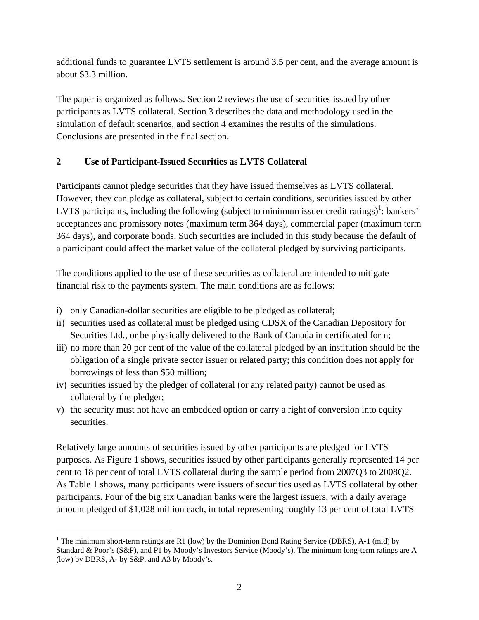additional funds to guarantee LVTS settlement is around 3.5 per cent, and the average amount is about \$3.3 million.

The paper is organized as follows. Section 2 reviews the use of securities issued by other participants as LVTS collateral. Section 3 describes the data and methodology used in the simulation of default scenarios, and section 4 examines the results of the simulations. Conclusions are presented in the final section.

## **2 Use of Participant-Issued Securities as LVTS Collateral**

Participants cannot pledge securities that they have issued themselves as LVTS collateral. However, they can pledge as collateral, subject to certain conditions, securities issued by other LVTS participants, including the following (subject to minimum issuer credit ratings)<sup>1</sup>: bankers' acceptances and promissory notes (maximum term 364 days), commercial paper (maximum term 364 days), and corporate bonds. Such securities are included in this study because the default of a participant could affect the market value of the collateral pledged by surviving participants.

The conditions applied to the use of these securities as collateral are intended to mitigate financial risk to the payments system. The main conditions are as follows:

- i) only Canadian-dollar securities are eligible to be pledged as collateral;
- ii) securities used as collateral must be pledged using CDSX of the Canadian Depository for Securities Ltd., or be physically delivered to the Bank of Canada in certificated form;
- iii) no more than 20 per cent of the value of the collateral pledged by an institution should be the obligation of a single private sector issuer or related party; this condition does not apply for borrowings of less than \$50 million;
- iv) securities issued by the pledger of collateral (or any related party) cannot be used as collateral by the pledger;
- v) the security must not have an embedded option or carry a right of conversion into equity securities.

Relatively large amounts of securities issued by other participants are pledged for LVTS purposes. As Figure 1 shows, securities issued by other participants generally represented 14 per cent to 18 per cent of total LVTS collateral during the sample period from 2007Q3 to 2008Q2. As Table 1 shows, many participants were issuers of securities used as LVTS collateral by other participants. Four of the big six Canadian banks were the largest issuers, with a daily average amount pledged of \$1,028 million each, in total representing roughly 13 per cent of total LVTS

 $\overline{a}$ <sup>1</sup> The minimum short-term ratings are R1 (low) by the Dominion Bond Rating Service (DBRS), A-1 (mid) by Standard & Poor's (S&P), and P1 by Moody's Investors Service (Moody's). The minimum long-term ratings are A (low) by DBRS, A- by S&P, and A3 by Moody's.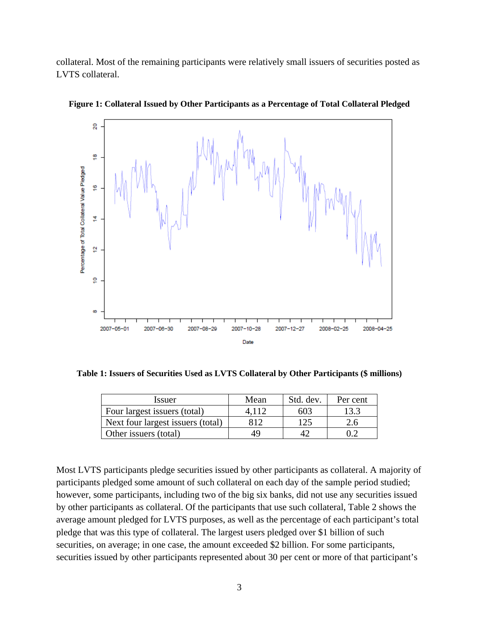collateral. Most of the remaining participants were relatively small issuers of securities posted as LVTS collateral.



**Figure 1: Collateral Issued by Other Participants as a Percentage of Total Collateral Pledged** 

**Table 1: Issuers of Securities Used as LVTS Collateral by Other Participants (\$ millions)** 

| <i>Issuer</i>                     | Mean  | Std. dev. | Per cent |
|-----------------------------------|-------|-----------|----------|
| Four largest issuers (total)      | 4.112 | 603       | 13.3     |
| Next four largest issuers (total) | 812   | 125       | 2.6      |
| Other issuers (total)             | 49    |           |          |

Most LVTS participants pledge securities issued by other participants as collateral. A majority of participants pledged some amount of such collateral on each day of the sample period studied; however, some participants, including two of the big six banks, did not use any securities issued by other participants as collateral. Of the participants that use such collateral, Table 2 shows the average amount pledged for LVTS purposes, as well as the percentage of each participant's total pledge that was this type of collateral. The largest users pledged over \$1 billion of such securities, on average; in one case, the amount exceeded \$2 billion. For some participants, securities issued by other participants represented about 30 per cent or more of that participant's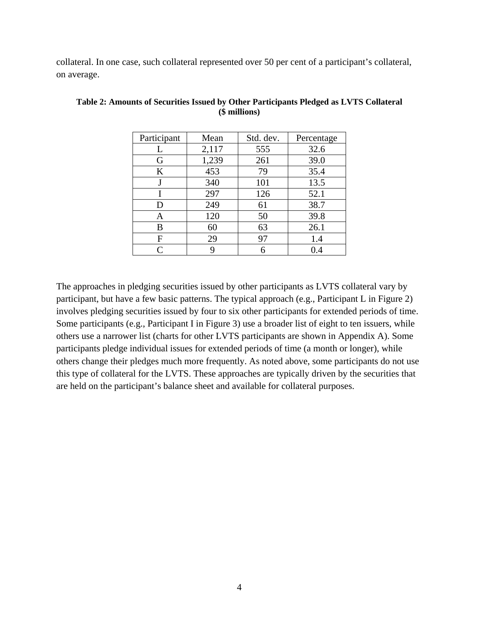collateral. In one case, such collateral represented over 50 per cent of a participant's collateral, on average.

| Participant | Mean  | Std. dev. | Percentage |
|-------------|-------|-----------|------------|
| L           | 2,117 | 555       | 32.6       |
| G           | 1,239 | 261       | 39.0       |
| K           | 453   | 79        | 35.4       |
|             | 340   | 101       | 13.5       |
| T           | 297   | 126       | 52.1       |
| D           | 249   | 61        | 38.7       |
| Α           | 120   | 50        | 39.8       |
| В           | 60    | 63        | 26.1       |
| F           | 29    | 97        | 1.4        |
| C           | 9     | 6         | 0.4        |

**Table 2: Amounts of Securities Issued by Other Participants Pledged as LVTS Collateral (\$ millions)** 

The approaches in pledging securities issued by other participants as LVTS collateral vary by participant, but have a few basic patterns. The typical approach (e.g., Participant L in Figure 2) involves pledging securities issued by four to six other participants for extended periods of time. Some participants (e.g., Participant I in Figure 3) use a broader list of eight to ten issuers, while others use a narrower list (charts for other LVTS participants are shown in Appendix A). Some participants pledge individual issues for extended periods of time (a month or longer), while others change their pledges much more frequently. As noted above, some participants do not use this type of collateral for the LVTS. These approaches are typically driven by the securities that are held on the participant's balance sheet and available for collateral purposes.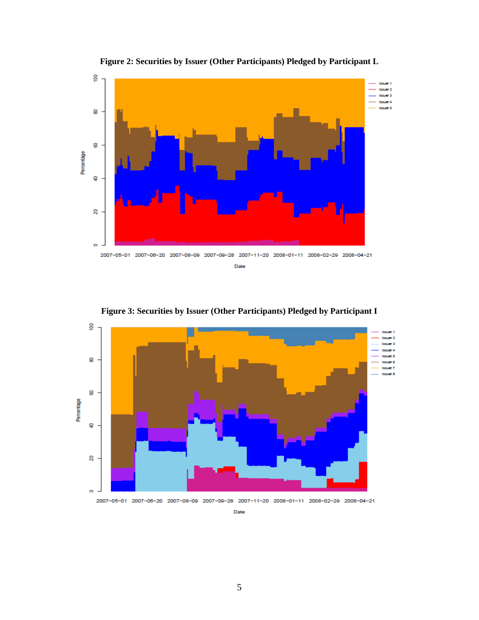

**Figure 2: Securities by Issuer (Other Participants) Pledged by Participant L** 

**Figure 3: Securities by Issuer (Other Participants) Pledged by Participant I** 



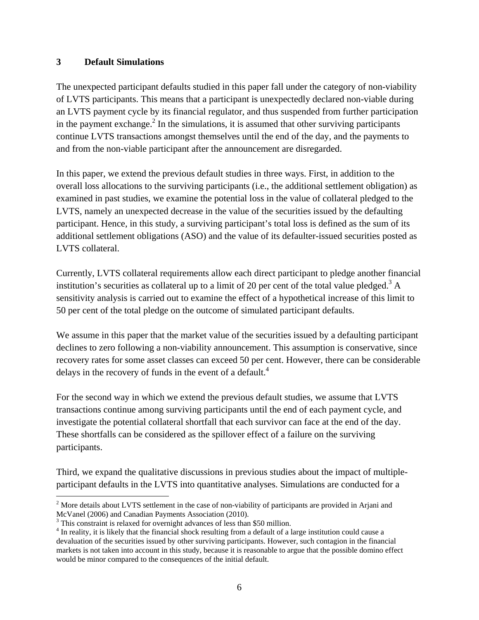#### **3 Default Simulations**

The unexpected participant defaults studied in this paper fall under the category of non-viability of LVTS participants. This means that a participant is unexpectedly declared non-viable during an LVTS payment cycle by its financial regulator, and thus suspended from further participation in the payment exchange. $<sup>2</sup>$  In the simulations, it is assumed that other surviving participants</sup> continue LVTS transactions amongst themselves until the end of the day, and the payments to and from the non-viable participant after the announcement are disregarded.

In this paper, we extend the previous default studies in three ways. First, in addition to the overall loss allocations to the surviving participants (i.e., the additional settlement obligation) as examined in past studies, we examine the potential loss in the value of collateral pledged to the LVTS, namely an unexpected decrease in the value of the securities issued by the defaulting participant. Hence, in this study, a surviving participant's total loss is defined as the sum of its additional settlement obligations (ASO) and the value of its defaulter-issued securities posted as LVTS collateral.

Currently, LVTS collateral requirements allow each direct participant to pledge another financial institution's securities as collateral up to a limit of 20 per cent of the total value pledged.<sup>3</sup> A sensitivity analysis is carried out to examine the effect of a hypothetical increase of this limit to 50 per cent of the total pledge on the outcome of simulated participant defaults.

We assume in this paper that the market value of the securities issued by a defaulting participant declines to zero following a non-viability announcement. This assumption is conservative, since recovery rates for some asset classes can exceed 50 per cent. However, there can be considerable delays in the recovery of funds in the event of a default. $4$ 

For the second way in which we extend the previous default studies, we assume that LVTS transactions continue among surviving participants until the end of each payment cycle, and investigate the potential collateral shortfall that each survivor can face at the end of the day. These shortfalls can be considered as the spillover effect of a failure on the surviving participants.

Third, we expand the qualitative discussions in previous studies about the impact of multipleparticipant defaults in the LVTS into quantitative analyses. Simulations are conducted for a

 $\overline{a}$  $2^{2}$  More details about LVTS settlement in the case of non-viability of participants are provided in Arjani and McVanel (2006) and Canadian Payments Association (2010).

<sup>&</sup>lt;sup>3</sup> This constraint is relaxed for overnight advances of less than \$50 million.

<sup>&</sup>lt;sup>4</sup> In reality, it is likely that the financial shock resulting from a default of a large institution could cause a devaluation of the securities issued by other surviving participants. However, such contagion in the financial markets is not taken into account in this study, because it is reasonable to argue that the possible domino effect would be minor compared to the consequences of the initial default.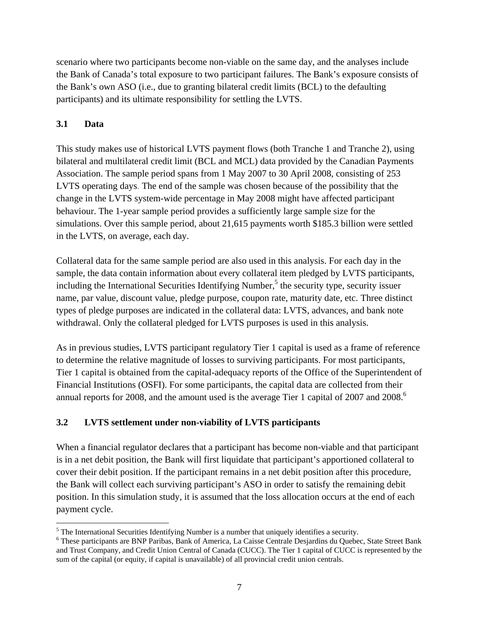scenario where two participants become non-viable on the same day, and the analyses include the Bank of Canada's total exposure to two participant failures. The Bank's exposure consists of the Bank's own ASO (i.e., due to granting bilateral credit limits (BCL) to the defaulting participants) and its ultimate responsibility for settling the LVTS.

## **3.1 Data**

<u>.</u>

This study makes use of historical LVTS payment flows (both Tranche 1 and Tranche 2), using bilateral and multilateral credit limit (BCL and MCL) data provided by the Canadian Payments Association. The sample period spans from 1 May 2007 to 30 April 2008, consisting of 253 LVTS operating days. The end of the sample was chosen because of the possibility that the change in the LVTS system-wide percentage in May 2008 might have affected participant behaviour. The 1-year sample period provides a sufficiently large sample size for the simulations. Over this sample period, about 21,615 payments worth \$185.3 billion were settled in the LVTS, on average, each day.

Collateral data for the same sample period are also used in this analysis. For each day in the sample, the data contain information about every collateral item pledged by LVTS participants, including the International Securities Identifying Number,<sup>5</sup> the security type, security issuer name, par value, discount value, pledge purpose, coupon rate, maturity date, etc. Three distinct types of pledge purposes are indicated in the collateral data: LVTS, advances, and bank note withdrawal. Only the collateral pledged for LVTS purposes is used in this analysis.

As in previous studies, LVTS participant regulatory Tier 1 capital is used as a frame of reference to determine the relative magnitude of losses to surviving participants. For most participants, Tier 1 capital is obtained from the capital-adequacy reports of the Office of the Superintendent of Financial Institutions (OSFI). For some participants, the capital data are collected from their annual reports for 2008, and the amount used is the average Tier 1 capital of 2007 and 2008.<sup>6</sup>

## **3.2 LVTS settlement under non-viability of LVTS participants**

When a financial regulator declares that a participant has become non-viable and that participant is in a net debit position, the Bank will first liquidate that participant's apportioned collateral to cover their debit position. If the participant remains in a net debit position after this procedure, the Bank will collect each surviving participant's ASO in order to satisfy the remaining debit position. In this simulation study, it is assumed that the loss allocation occurs at the end of each payment cycle.

<sup>&</sup>lt;sup>5</sup> The International Securities Identifying Number is a number that uniquely identifies a security.<br><sup>6</sup> These pertisipents are PND Peribes. Bank of America, Le Geises Centrals Desierding du Quabe.

These participants are BNP Paribas, Bank of America, La Caisse Centrale Desjardins du Quebec, State Street Bank and Trust Company, and Credit Union Central of Canada (CUCC). The Tier 1 capital of CUCC is represented by the sum of the capital (or equity, if capital is unavailable) of all provincial credit union centrals.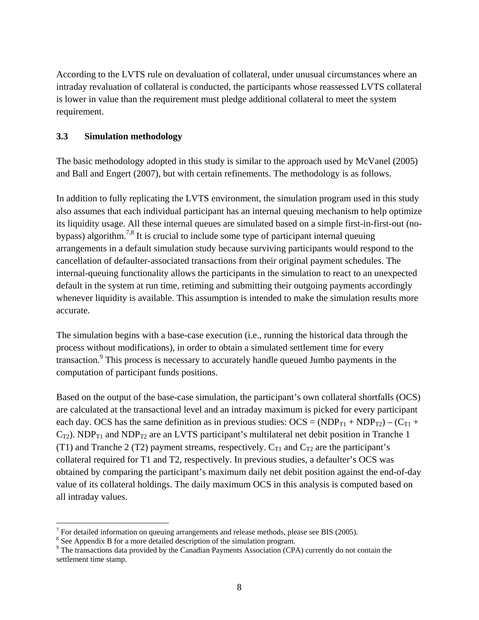According to the LVTS rule on devaluation of collateral, under unusual circumstances where an intraday revaluation of collateral is conducted, the participants whose reassessed LVTS collateral is lower in value than the requirement must pledge additional collateral to meet the system requirement.

#### **3.3 Simulation methodology**

The basic methodology adopted in this study is similar to the approach used by McVanel (2005) and Ball and Engert (2007), but with certain refinements. The methodology is as follows.

In addition to fully replicating the LVTS environment, the simulation program used in this study also assumes that each individual participant has an internal queuing mechanism to help optimize its liquidity usage. All these internal queues are simulated based on a simple first-in-first-out (nobypass) algorithm.<sup>7,8</sup> It is crucial to include some type of participant internal queuing arrangements in a default simulation study because surviving participants would respond to the cancellation of defaulter-associated transactions from their original payment schedules. The internal-queuing functionality allows the participants in the simulation to react to an unexpected default in the system at run time, retiming and submitting their outgoing payments accordingly whenever liquidity is available. This assumption is intended to make the simulation results more accurate.

The simulation begins with a base-case execution (i.e., running the historical data through the process without modifications), in order to obtain a simulated settlement time for every transaction.<sup>9</sup> This process is necessary to accurately handle queued Jumbo payments in the computation of participant funds positions.

Based on the output of the base-case simulation, the participant's own collateral shortfalls (OCS) are calculated at the transactional level and an intraday maximum is picked for every participant each day. OCS has the same definition as in previous studies:  $OCS = (NDP_{T1} + NDP_{T2}) - (C_{T1} + D_{T2})$  $C_{T2}$ ). NDP<sub>T1</sub> and NDP<sub>T2</sub> are an LVTS participant's multilateral net debit position in Tranche 1 (T1) and Tranche 2 (T2) payment streams, respectively.  $C_{T1}$  and  $C_{T2}$  are the participant's collateral required for T1 and T2, respectively. In previous studies, a defaulter's OCS was obtained by comparing the participant's maximum daily net debit position against the end-of-day value of its collateral holdings. The daily maximum OCS in this analysis is computed based on all intraday values.

 $\overline{a}$ 

 $<sup>7</sup>$  For detailed information on queuing arrangements and release methods, please see BIS (2005).</sup>

<sup>&</sup>lt;sup>8</sup> See Appendix B for a more detailed description of the simulation program.

<sup>&</sup>lt;sup>9</sup> The transactions data provided by the Canadian Payments Association (CPA) currently do not contain the settlement time stamp.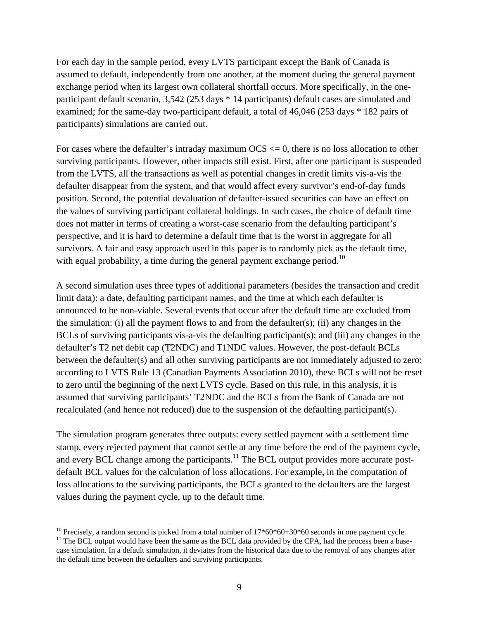For each day in the sample period, every LVTS participant except the Bank of Canada is assumed to default, independently from one another, at the moment during the general payment exchange period when its largest own collateral shortfall occurs. More specifically, in the oneparticipant default scenario, 3,542 (253 days \* 14 participants) default cases are simulated and examined; for the same-day two-participant default, a total of 46,046 (253 days \* 182 pairs of participants) simulations are carried out.

For cases where the defaulter's intraday maximum  $OCS \leq 0$ , there is no loss allocation to other surviving participants. However, other impacts still exist. First, after one participant is suspended from the LVTS, all the transactions as well as potential changes in credit limits vis-a-vis the defaulter disappear from the system, and that would affect every survivor's end-of-day funds position. Second, the potential devaluation of defaulter-issued securities can have an effect on the values of surviving participant collateral holdings. In such cases, the choice of default time does not matter in terms of creating a worst-case scenario from the defaulting participant's perspective, and it is hard to determine a default time that is the worst in aggregate for all survivors. A fair and easy approach used in this paper is to randomly pick as the default time, with equal probability, a time during the general payment exchange period.<sup>10</sup>

A second simulation uses three types of additional parameters (besides the transaction and credit limit data): a date, defaulting participant names, and the time at which each defaulter is announced to be non-viable. Several events that occur after the default time are excluded from the simulation: (i) all the payment flows to and from the defaulter(s); (ii) any changes in the BCLs of surviving participants vis-a-vis the defaulting participant(s); and (iii) any changes in the defaulter's T2 net debit cap (T2NDC) and T1NDC values. However, the post-default BCLs between the defaulter(s) and all other surviving participants are not immediately adjusted to zero: according to LVTS Rule 13 (Canadian Payments Association 2010), these BCLs will not be reset to zero until the beginning of the next LVTS cycle. Based on this rule, in this analysis, it is assumed that surviving participants' T2NDC and the BCLs from the Bank of Canada are not recalculated (and hence not reduced) due to the suspension of the defaulting participant(s).

The simulation program generates three outputs: every settled payment with a settlement time stamp, every rejected payment that cannot settle at any time before the end of the payment cycle, and every BCL change among the participants. $11$  The BCL output provides more accurate postdefault BCL values for the calculation of loss allocations. For example, in the computation of loss allocations to the surviving participants, the BCLs granted to the defaulters are the largest values during the payment cycle, up to the default time.

<sup>&</sup>lt;sup>10</sup> Precisely, a random second is picked from a total number of  $17*60*60+30*60$  seconds in one payment cycle.

 $11$  The BCL output would have been the same as the BCL data provided by the CPA, had the process been a basecase simulation. In a default simulation, it deviates from the historical data due to the removal of any changes after the default time between the defaulters and surviving participants.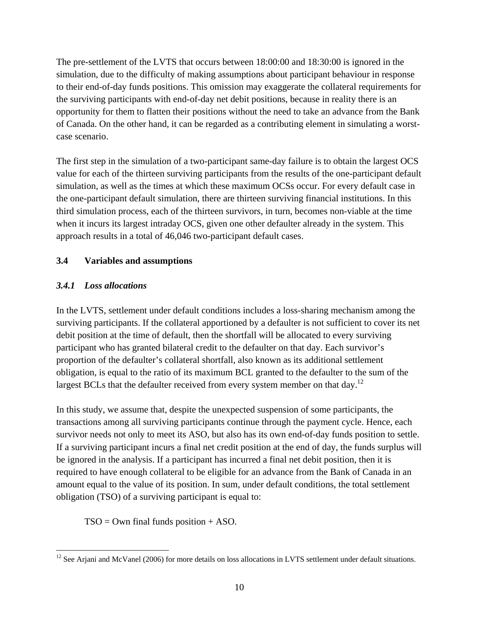The pre-settlement of the LVTS that occurs between 18:00:00 and 18:30:00 is ignored in the simulation, due to the difficulty of making assumptions about participant behaviour in response to their end-of-day funds positions. This omission may exaggerate the collateral requirements for the surviving participants with end-of-day net debit positions, because in reality there is an opportunity for them to flatten their positions without the need to take an advance from the Bank of Canada. On the other hand, it can be regarded as a contributing element in simulating a worstcase scenario.

The first step in the simulation of a two-participant same-day failure is to obtain the largest OCS value for each of the thirteen surviving participants from the results of the one-participant default simulation, as well as the times at which these maximum OCSs occur. For every default case in the one-participant default simulation, there are thirteen surviving financial institutions. In this third simulation process, each of the thirteen survivors, in turn, becomes non-viable at the time when it incurs its largest intraday OCS, given one other defaulter already in the system. This approach results in a total of 46,046 two-participant default cases.

## **3.4 Variables and assumptions**

## *3.4.1 Loss allocations*

In the LVTS, settlement under default conditions includes a loss-sharing mechanism among the surviving participants. If the collateral apportioned by a defaulter is not sufficient to cover its net debit position at the time of default, then the shortfall will be allocated to every surviving participant who has granted bilateral credit to the defaulter on that day. Each survivor's proportion of the defaulter's collateral shortfall, also known as its additional settlement obligation, is equal to the ratio of its maximum BCL granted to the defaulter to the sum of the largest BCLs that the defaulter received from every system member on that day.<sup>12</sup>

In this study, we assume that, despite the unexpected suspension of some participants, the transactions among all surviving participants continue through the payment cycle. Hence, each survivor needs not only to meet its ASO, but also has its own end-of-day funds position to settle. If a surviving participant incurs a final net credit position at the end of day, the funds surplus will be ignored in the analysis. If a participant has incurred a final net debit position, then it is required to have enough collateral to be eligible for an advance from the Bank of Canada in an amount equal to the value of its position. In sum, under default conditions, the total settlement obligation (TSO) of a surviving participant is equal to:

 $TSO = Own final funds position + ASO.$ 

 $\overline{a}$  $12$  See Arjani and McVanel (2006) for more details on loss allocations in LVTS settlement under default situations.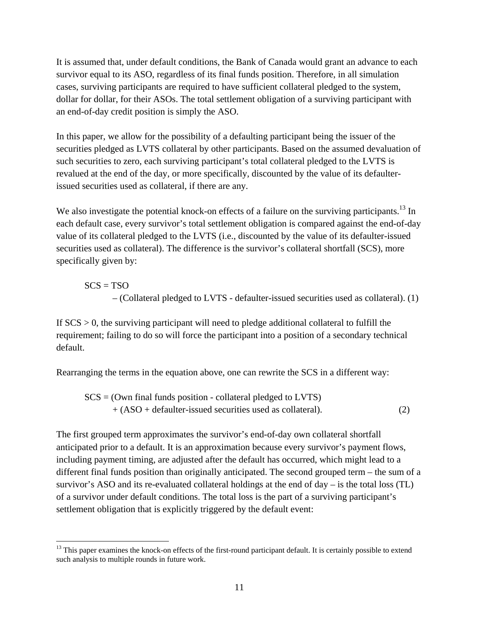It is assumed that, under default conditions, the Bank of Canada would grant an advance to each survivor equal to its ASO, regardless of its final funds position. Therefore, in all simulation cases, surviving participants are required to have sufficient collateral pledged to the system, dollar for dollar, for their ASOs. The total settlement obligation of a surviving participant with an end-of-day credit position is simply the ASO.

In this paper, we allow for the possibility of a defaulting participant being the issuer of the securities pledged as LVTS collateral by other participants. Based on the assumed devaluation of such securities to zero, each surviving participant's total collateral pledged to the LVTS is revalued at the end of the day, or more specifically, discounted by the value of its defaulterissued securities used as collateral, if there are any.

We also investigate the potential knock-on effects of a failure on the surviving participants.<sup>13</sup> In each default case, every survivor's total settlement obligation is compared against the end-of-day value of its collateral pledged to the LVTS (i.e., discounted by the value of its defaulter-issued securities used as collateral). The difference is the survivor's collateral shortfall (SCS), more specifically given by:

 $SCS = TSO$ 

– (Collateral pledged to LVTS - defaulter-issued securities used as collateral). (1)

If  $SCS > 0$ , the surviving participant will need to pledge additional collateral to fulfill the requirement; failing to do so will force the participant into a position of a secondary technical default.

Rearranging the terms in the equation above, one can rewrite the SCS in a different way:

 $SCS = (Own final funds position - collateral pledged to LVTS)$ + (ASO + defaulter-issued securities used as collateral). (2)

The first grouped term approximates the survivor's end-of-day own collateral shortfall anticipated prior to a default. It is an approximation because every survivor's payment flows, including payment timing, are adjusted after the default has occurred, which might lead to a different final funds position than originally anticipated. The second grouped term – the sum of a survivor's ASO and its re-evaluated collateral holdings at the end of day – is the total loss (TL) of a survivor under default conditions. The total loss is the part of a surviving participant's settlement obligation that is explicitly triggered by the default event:

 $\overline{a}$ <sup>13</sup> This paper examines the knock-on effects of the first-round participant default. It is certainly possible to extend such analysis to multiple rounds in future work.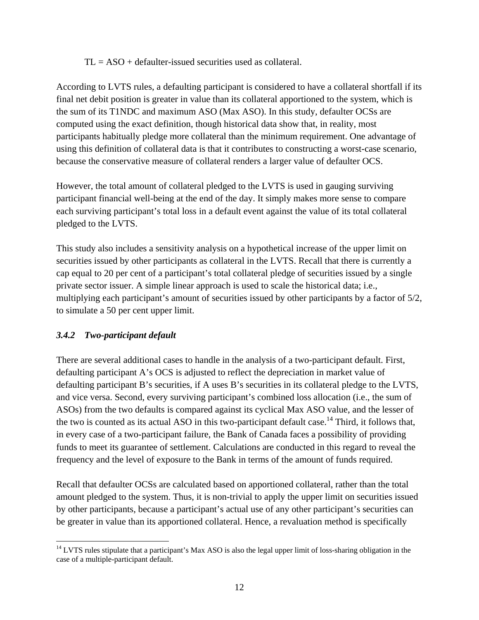$TL = ASO + defaulter-*issued* securities used as collateral.$ 

According to LVTS rules, a defaulting participant is considered to have a collateral shortfall if its final net debit position is greater in value than its collateral apportioned to the system, which is the sum of its T1NDC and maximum ASO (Max ASO). In this study, defaulter OCSs are computed using the exact definition, though historical data show that, in reality, most participants habitually pledge more collateral than the minimum requirement. One advantage of using this definition of collateral data is that it contributes to constructing a worst-case scenario, because the conservative measure of collateral renders a larger value of defaulter OCS.

However, the total amount of collateral pledged to the LVTS is used in gauging surviving participant financial well-being at the end of the day. It simply makes more sense to compare each surviving participant's total loss in a default event against the value of its total collateral pledged to the LVTS.

This study also includes a sensitivity analysis on a hypothetical increase of the upper limit on securities issued by other participants as collateral in the LVTS. Recall that there is currently a cap equal to 20 per cent of a participant's total collateral pledge of securities issued by a single private sector issuer. A simple linear approach is used to scale the historical data; i.e., multiplying each participant's amount of securities issued by other participants by a factor of 5/2, to simulate a 50 per cent upper limit.

## *3.4.2 Two-participant default*

 $\overline{a}$ 

There are several additional cases to handle in the analysis of a two-participant default. First, defaulting participant A's OCS is adjusted to reflect the depreciation in market value of defaulting participant B's securities, if A uses B's securities in its collateral pledge to the LVTS, and vice versa. Second, every surviving participant's combined loss allocation (i.e., the sum of ASOs) from the two defaults is compared against its cyclical Max ASO value, and the lesser of the two is counted as its actual ASO in this two-participant default case.<sup>14</sup> Third, it follows that, in every case of a two-participant failure, the Bank of Canada faces a possibility of providing funds to meet its guarantee of settlement. Calculations are conducted in this regard to reveal the frequency and the level of exposure to the Bank in terms of the amount of funds required.

Recall that defaulter OCSs are calculated based on apportioned collateral, rather than the total amount pledged to the system. Thus, it is non-trivial to apply the upper limit on securities issued by other participants, because a participant's actual use of any other participant's securities can be greater in value than its apportioned collateral. Hence, a revaluation method is specifically

<sup>&</sup>lt;sup>14</sup> LVTS rules stipulate that a participant's Max ASO is also the legal upper limit of loss-sharing obligation in the case of a multiple-participant default.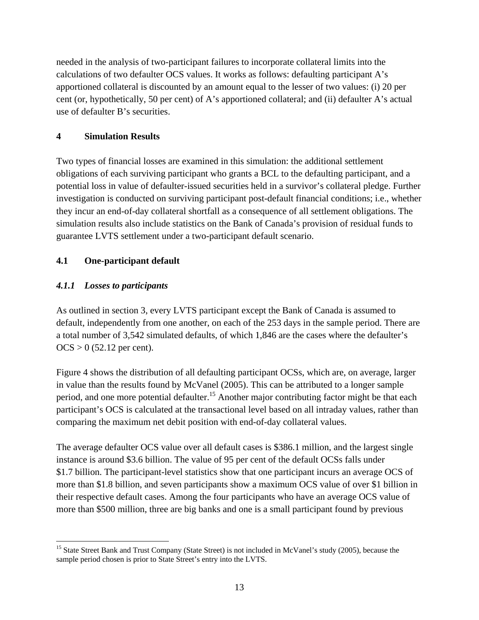needed in the analysis of two-participant failures to incorporate collateral limits into the calculations of two defaulter OCS values. It works as follows: defaulting participant A's apportioned collateral is discounted by an amount equal to the lesser of two values: (i) 20 per cent (or, hypothetically, 50 per cent) of A's apportioned collateral; and (ii) defaulter A's actual use of defaulter B's securities.

#### **4 Simulation Results**

Two types of financial losses are examined in this simulation: the additional settlement obligations of each surviving participant who grants a BCL to the defaulting participant, and a potential loss in value of defaulter-issued securities held in a survivor's collateral pledge. Further investigation is conducted on surviving participant post-default financial conditions; i.e., whether they incur an end-of-day collateral shortfall as a consequence of all settlement obligations. The simulation results also include statistics on the Bank of Canada's provision of residual funds to guarantee LVTS settlement under a two-participant default scenario.

## **4.1 One-participant default**

## *4.1.1 Losses to participants*

 $\overline{a}$ 

As outlined in section 3, every LVTS participant except the Bank of Canada is assumed to default, independently from one another, on each of the 253 days in the sample period. There are a total number of 3,542 simulated defaults, of which 1,846 are the cases where the defaulter's  $OCS > 0$  (52.12 per cent).

Figure 4 shows the distribution of all defaulting participant OCSs, which are, on average, larger in value than the results found by McVanel (2005). This can be attributed to a longer sample period, and one more potential defaulter.<sup>15</sup> Another major contributing factor might be that each participant's OCS is calculated at the transactional level based on all intraday values, rather than comparing the maximum net debit position with end-of-day collateral values.

The average defaulter OCS value over all default cases is \$386.1 million, and the largest single instance is around \$3.6 billion. The value of 95 per cent of the default OCSs falls under \$1.7 billion. The participant-level statistics show that one participant incurs an average OCS of more than \$1.8 billion, and seven participants show a maximum OCS value of over \$1 billion in their respective default cases. Among the four participants who have an average OCS value of more than \$500 million, three are big banks and one is a small participant found by previous

<sup>&</sup>lt;sup>15</sup> State Street Bank and Trust Company (State Street) is not included in McVanel's study (2005), because the sample period chosen is prior to State Street's entry into the LVTS.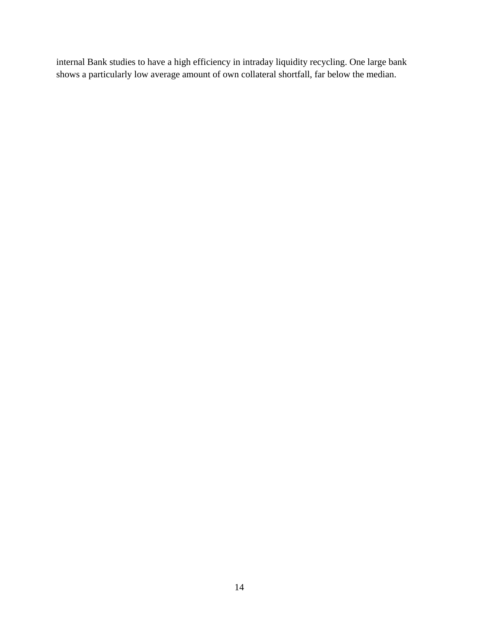internal Bank studies to have a high efficiency in intraday liquidity recycling. One large bank shows a particularly low average amount of own collateral shortfall, far below the median.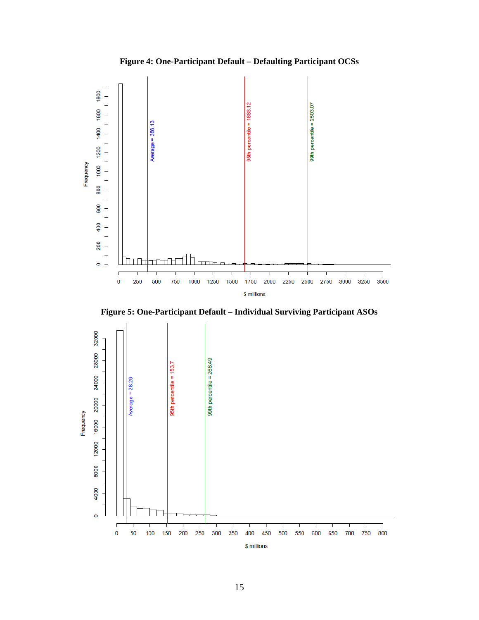





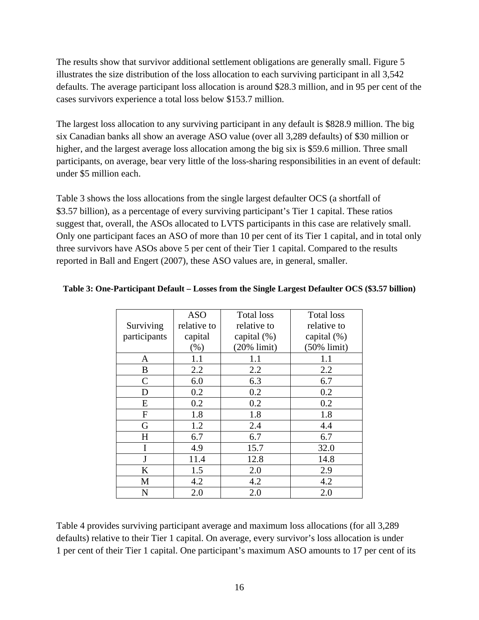The results show that survivor additional settlement obligations are generally small. Figure 5 illustrates the size distribution of the loss allocation to each surviving participant in all 3,542 defaults. The average participant loss allocation is around \$28.3 million, and in 95 per cent of the cases survivors experience a total loss below \$153.7 million.

The largest loss allocation to any surviving participant in any default is \$828.9 million. The big six Canadian banks all show an average ASO value (over all 3,289 defaults) of \$30 million or higher, and the largest average loss allocation among the big six is \$59.6 million. Three small participants, on average, bear very little of the loss-sharing responsibilities in an event of default: under \$5 million each.

Table 3 shows the loss allocations from the single largest defaulter OCS (a shortfall of \$3.57 billion), as a percentage of every surviving participant's Tier 1 capital. These ratios suggest that, overall, the ASOs allocated to LVTS participants in this case are relatively small. Only one participant faces an ASO of more than 10 per cent of its Tier 1 capital, and in total only three survivors have ASOs above 5 per cent of their Tier 1 capital. Compared to the results reported in Ball and Engert (2007), these ASO values are, in general, smaller.

|              | <b>ASO</b>  | <b>Total loss</b> | <b>Total loss</b> |
|--------------|-------------|-------------------|-------------------|
| Surviving    | relative to | relative to       | relative to       |
| participants | capital     | capital $(\%)$    | capital $(\%)$    |
|              | $(\% )$     | $(20\%$ limit)    | $(50\%$ limit)    |
| A            | 1.1         | 1.1               | 1.1               |
| B            | 2.2         | 2.2               | 2.2               |
| $\mathsf{C}$ | 6.0         | 6.3               | 6.7               |
| D            | 0.2         | 0.2               | 0.2               |
| E            | 0.2         | 0.2               | 0.2               |
| F            | 1.8         | 1.8               | 1.8               |
| G            | 1.2         | 2.4               | 4.4               |
| $H_{\rm}$    | 6.7         | 6.7               | 6.7               |
| I            | 4.9         | 15.7              | 32.0              |
| J            | 11.4        | 12.8              | 14.8              |
| K            | 1.5         | 2.0               | 2.9               |
| M            | 4.2         | 4.2               | 4.2               |
| N            | 2.0         | 2.0               | 2.0               |

#### **Table 3: One-Participant Default – Losses from the Single Largest Defaulter OCS (\$3.57 billion)**

Table 4 provides surviving participant average and maximum loss allocations (for all 3,289 defaults) relative to their Tier 1 capital. On average, every survivor's loss allocation is under 1 per cent of their Tier 1 capital. One participant's maximum ASO amounts to 17 per cent of its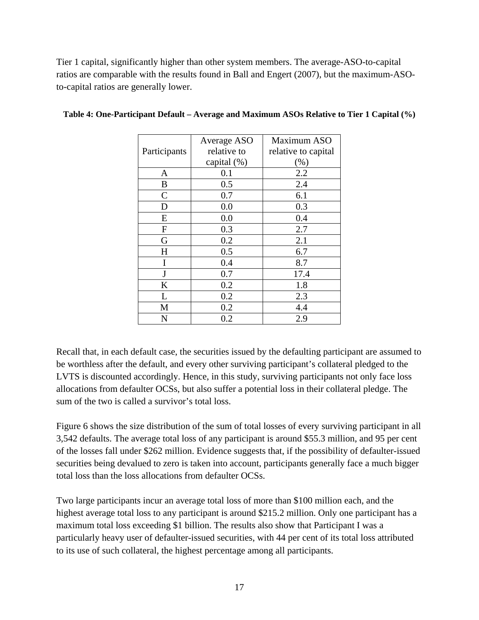Tier 1 capital, significantly higher than other system members. The average-ASO-to-capital ratios are comparable with the results found in Ball and Engert (2007), but the maximum-ASOto-capital ratios are generally lower.

|               | Average ASO | Maximum ASO         |
|---------------|-------------|---------------------|
| Participants  | relative to | relative to capital |
|               | capital (%) | $(\%)$              |
| A             | 0.1         | 2.2                 |
| B             | 0.5         | 2.4                 |
| $\mathcal{C}$ | 0.7         | 6.1                 |
| D             | 0.0         | 0.3                 |
| Ε             | 0.0         | 0.4                 |
| $\mathbf F$   | 0.3         | 2.7                 |
| G             | 0.2         | 2.1                 |
| H             | 0.5         | 6.7                 |
| I             | 0.4         | 8.7                 |
| J             | 0.7         | 17.4                |
| K             | 0.2         | 1.8                 |
| L             | 0.2         | 2.3                 |
| М             | 0.2         | 4.4                 |
| N             | 0.2         | 2.9                 |

#### **Table 4: One-Participant Default – Average and Maximum ASOs Relative to Tier 1 Capital (%)**

Recall that, in each default case, the securities issued by the defaulting participant are assumed to be worthless after the default, and every other surviving participant's collateral pledged to the LVTS is discounted accordingly. Hence, in this study, surviving participants not only face loss allocations from defaulter OCSs, but also suffer a potential loss in their collateral pledge. The sum of the two is called a survivor's total loss.

Figure 6 shows the size distribution of the sum of total losses of every surviving participant in all 3,542 defaults. The average total loss of any participant is around \$55.3 million, and 95 per cent of the losses fall under \$262 million. Evidence suggests that, if the possibility of defaulter-issued securities being devalued to zero is taken into account, participants generally face a much bigger total loss than the loss allocations from defaulter OCSs.

Two large participants incur an average total loss of more than \$100 million each, and the highest average total loss to any participant is around \$215.2 million. Only one participant has a maximum total loss exceeding \$1 billion. The results also show that Participant I was a particularly heavy user of defaulter-issued securities, with 44 per cent of its total loss attributed to its use of such collateral, the highest percentage among all participants.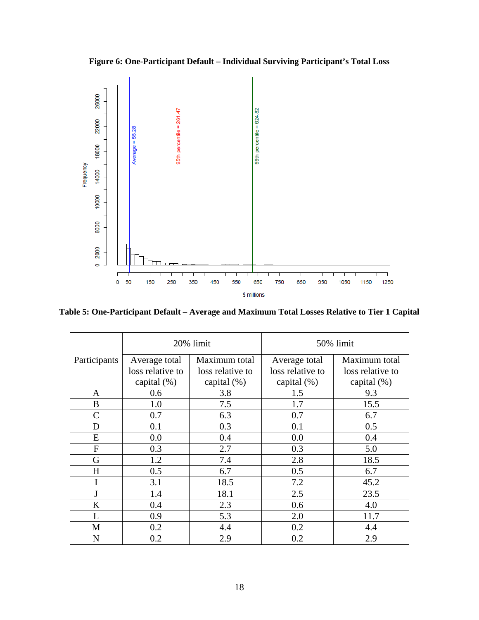**Figure 6: One-Participant Default – Individual Surviving Participant's Total Loss** 



**Table 5: One-Participant Default – Average and Maximum Total Losses Relative to Tier 1 Capital** 

|              | 20% limit        |                  | 50% limit        |                  |
|--------------|------------------|------------------|------------------|------------------|
| Participants | Average total    | Maximum total    | Average total    | Maximum total    |
|              | loss relative to | loss relative to | loss relative to | loss relative to |
|              | capital (%)      | capital $(\%)$   | capital $(\%)$   | capital $(\%)$   |
| A            | 0.6              | 3.8              | 1.5              | 9.3              |
| B            | 1.0              | 7.5              | 1.7              | 15.5             |
| $\mathsf{C}$ | 0.7              | 6.3              | 0.7              | 6.7              |
| D            | 0.1              | 0.3              | 0.1              | 0.5              |
| E            | 0.0              | 0.4              | 0.0              | 0.4              |
| F            | 0.3              | 2.7              | 0.3              | 5.0              |
| G            | 1.2              | 7.4              | 2.8              | 18.5             |
| H            | 0.5              | 6.7              | 0.5              | 6.7              |
| I            | 3.1              | 18.5             | 7.2              | 45.2             |
| $\mathbf{J}$ | 1.4              | 18.1             | 2.5              | 23.5             |
| K            | 0.4              | 2.3              | 0.6              | 4.0              |
| L            | 0.9              | 5.3              | 2.0              | 11.7             |
| M            | 0.2              | 4.4              | 0.2              | 4.4              |
| N            | 0.2              | 2.9              | 0.2              | 2.9              |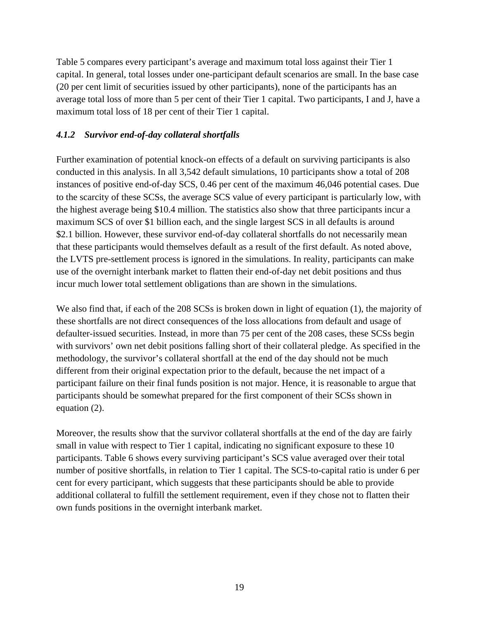Table 5 compares every participant's average and maximum total loss against their Tier 1 capital. In general, total losses under one-participant default scenarios are small. In the base case (20 per cent limit of securities issued by other participants), none of the participants has an average total loss of more than 5 per cent of their Tier 1 capital. Two participants, I and J, have a maximum total loss of 18 per cent of their Tier 1 capital.

#### *4.1.2 Survivor end-of-day collateral shortfalls*

Further examination of potential knock-on effects of a default on surviving participants is also conducted in this analysis. In all 3,542 default simulations, 10 participants show a total of 208 instances of positive end-of-day SCS, 0.46 per cent of the maximum 46,046 potential cases. Due to the scarcity of these SCSs, the average SCS value of every participant is particularly low, with the highest average being \$10.4 million. The statistics also show that three participants incur a maximum SCS of over \$1 billion each, and the single largest SCS in all defaults is around \$2.1 billion. However, these survivor end-of-day collateral shortfalls do not necessarily mean that these participants would themselves default as a result of the first default. As noted above, the LVTS pre-settlement process is ignored in the simulations. In reality, participants can make use of the overnight interbank market to flatten their end-of-day net debit positions and thus incur much lower total settlement obligations than are shown in the simulations.

We also find that, if each of the 208 SCSs is broken down in light of equation (1), the majority of these shortfalls are not direct consequences of the loss allocations from default and usage of defaulter-issued securities. Instead, in more than 75 per cent of the 208 cases, these SCSs begin with survivors' own net debit positions falling short of their collateral pledge. As specified in the methodology, the survivor's collateral shortfall at the end of the day should not be much different from their original expectation prior to the default, because the net impact of a participant failure on their final funds position is not major. Hence, it is reasonable to argue that participants should be somewhat prepared for the first component of their SCSs shown in equation (2).

Moreover, the results show that the survivor collateral shortfalls at the end of the day are fairly small in value with respect to Tier 1 capital, indicating no significant exposure to these 10 participants. Table 6 shows every surviving participant's SCS value averaged over their total number of positive shortfalls, in relation to Tier 1 capital. The SCS-to-capital ratio is under 6 per cent for every participant, which suggests that these participants should be able to provide additional collateral to fulfill the settlement requirement, even if they chose not to flatten their own funds positions in the overnight interbank market.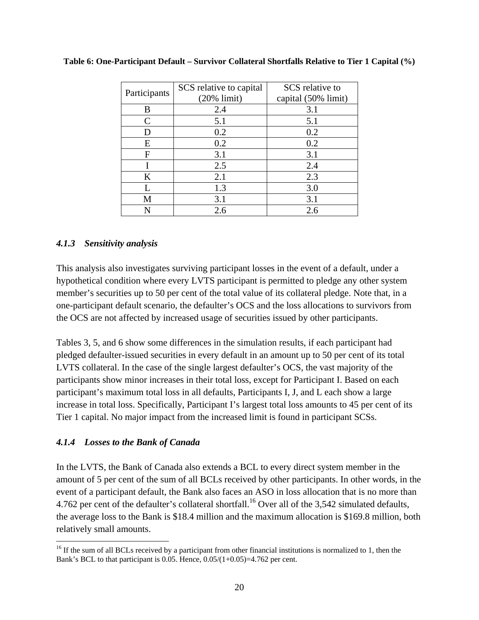| Participants | SCS relative to capital<br>$(20\%$ limit) | SCS relative to<br>capital (50% limit) |
|--------------|-------------------------------------------|----------------------------------------|
| B            | 2.4                                       | 3.1                                    |
| C            | 5.1                                       | 5.1                                    |
| D            | 0.2                                       | 0.2                                    |
| E            | 0.2                                       | 0.2                                    |
| F            | 3.1                                       | 3.1                                    |
|              | 2.5                                       | 2.4                                    |
| K            | 2.1                                       | 2.3                                    |
| L            | 1.3                                       | 3.0                                    |
| M            | 3.1                                       | 3.1                                    |
| N            | 2.6                                       | 2.6                                    |

**Table 6: One-Participant Default – Survivor Collateral Shortfalls Relative to Tier 1 Capital (%)** 

#### *4.1.3 Sensitivity analysis*

This analysis also investigates surviving participant losses in the event of a default, under a hypothetical condition where every LVTS participant is permitted to pledge any other system member's securities up to 50 per cent of the total value of its collateral pledge. Note that, in a one-participant default scenario, the defaulter's OCS and the loss allocations to survivors from the OCS are not affected by increased usage of securities issued by other participants.

Tables 3, 5, and 6 show some differences in the simulation results, if each participant had pledged defaulter-issued securities in every default in an amount up to 50 per cent of its total LVTS collateral. In the case of the single largest defaulter's OCS, the vast majority of the participants show minor increases in their total loss, except for Participant I. Based on each participant's maximum total loss in all defaults, Participants I, J, and L each show a large increase in total loss. Specifically, Participant I's largest total loss amounts to 45 per cent of its Tier 1 capital. No major impact from the increased limit is found in participant SCSs.

#### *4.1.4 Losses to the Bank of Canada*

 $\overline{a}$ 

In the LVTS, the Bank of Canada also extends a BCL to every direct system member in the amount of 5 per cent of the sum of all BCLs received by other participants. In other words, in the event of a participant default, the Bank also faces an ASO in loss allocation that is no more than 4.762 per cent of the defaulter's collateral shortfall.<sup>16</sup> Over all of the 3,542 simulated defaults, the average loss to the Bank is \$18.4 million and the maximum allocation is \$169.8 million, both relatively small amounts.

<sup>&</sup>lt;sup>16</sup> If the sum of all BCLs received by a participant from other financial institutions is normalized to 1, then the Bank's BCL to that participant is 0.05. Hence, 0.05/(1+0.05)=4.762 per cent.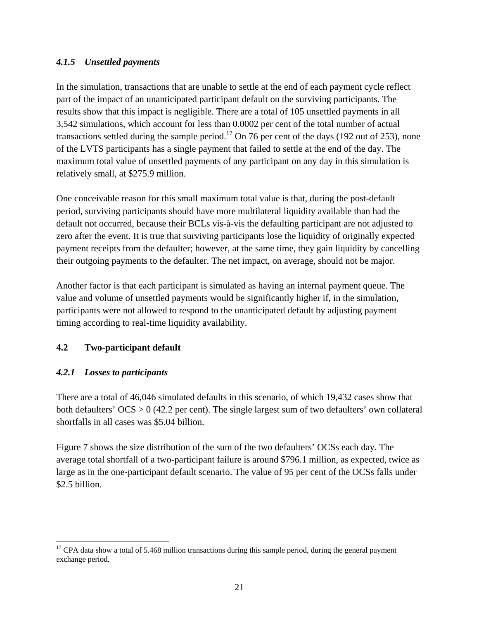#### *4.1.5 Unsettled payments*

In the simulation, transactions that are unable to settle at the end of each payment cycle reflect part of the impact of an unanticipated participant default on the surviving participants. The results show that this impact is negligible. There are a total of 105 unsettled payments in all 3,542 simulations, which account for less than 0.0002 per cent of the total number of actual transactions settled during the sample period.<sup>17</sup> On 76 per cent of the days (192 out of 253), none of the LVTS participants has a single payment that failed to settle at the end of the day. The maximum total value of unsettled payments of any participant on any day in this simulation is relatively small, at \$275.9 million.

One conceivable reason for this small maximum total value is that, during the post-default period, surviving participants should have more multilateral liquidity available than had the default not occurred, because their BCLs vis-à-vis the defaulting participant are not adjusted to zero after the event. It is true that surviving participants lose the liquidity of originally expected payment receipts from the defaulter; however, at the same time, they gain liquidity by cancelling their outgoing payments to the defaulter. The net impact, on average, should not be major.

Another factor is that each participant is simulated as having an internal payment queue. The value and volume of unsettled payments would be significantly higher if, in the simulation, participants were not allowed to respond to the unanticipated default by adjusting payment timing according to real-time liquidity availability.

## **4.2 Two-participant default**

#### *4.2.1 Losses to participants*

 $\overline{a}$ 

There are a total of 46,046 simulated defaults in this scenario, of which 19,432 cases show that both defaulters' OCS > 0 (42.2 per cent). The single largest sum of two defaulters' own collateral shortfalls in all cases was \$5.04 billion.

Figure 7 shows the size distribution of the sum of the two defaulters' OCSs each day. The average total shortfall of a two-participant failure is around \$796.1 million, as expected, twice as large as in the one-participant default scenario. The value of 95 per cent of the OCSs falls under \$2.5 billion.

 $17$  CPA data show a total of 5.468 million transactions during this sample period, during the general payment exchange period.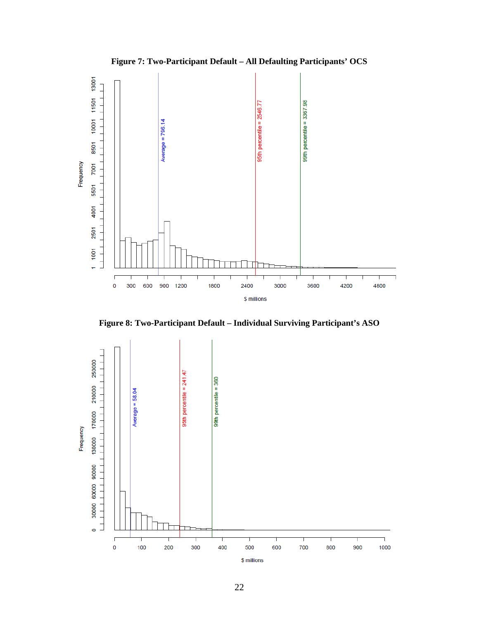



**Figure 8: Two-Participant Default – Individual Surviving Participant's ASO** 

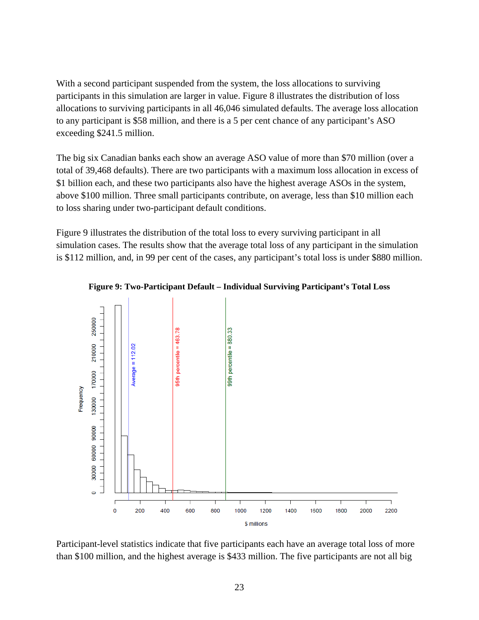With a second participant suspended from the system, the loss allocations to surviving participants in this simulation are larger in value. Figure 8 illustrates the distribution of loss allocations to surviving participants in all 46,046 simulated defaults. The average loss allocation to any participant is \$58 million, and there is a 5 per cent chance of any participant's ASO exceeding \$241.5 million.

The big six Canadian banks each show an average ASO value of more than \$70 million (over a total of 39,468 defaults). There are two participants with a maximum loss allocation in excess of \$1 billion each, and these two participants also have the highest average ASOs in the system, above \$100 million. Three small participants contribute, on average, less than \$10 million each to loss sharing under two-participant default conditions.

Figure 9 illustrates the distribution of the total loss to every surviving participant in all simulation cases. The results show that the average total loss of any participant in the simulation is \$112 million, and, in 99 per cent of the cases, any participant's total loss is under \$880 million.



**Figure 9: Two-Participant Default – Individual Surviving Participant's Total Loss**

Participant-level statistics indicate that five participants each have an average total loss of more than \$100 million, and the highest average is \$433 million. The five participants are not all big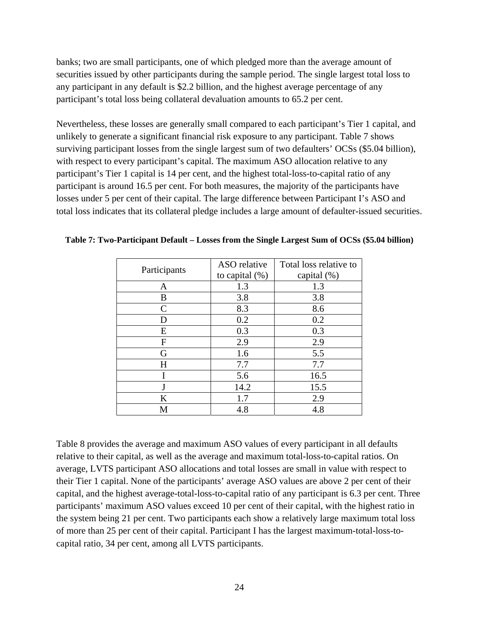banks; two are small participants, one of which pledged more than the average amount of securities issued by other participants during the sample period. The single largest total loss to any participant in any default is \$2.2 billion, and the highest average percentage of any participant's total loss being collateral devaluation amounts to 65.2 per cent.

Nevertheless, these losses are generally small compared to each participant's Tier 1 capital, and unlikely to generate a significant financial risk exposure to any participant. Table 7 shows surviving participant losses from the single largest sum of two defaulters' OCSs (\$5.04 billion), with respect to every participant's capital. The maximum ASO allocation relative to any participant's Tier 1 capital is 14 per cent, and the highest total-loss-to-capital ratio of any participant is around 16.5 per cent. For both measures, the majority of the participants have losses under 5 per cent of their capital. The large difference between Participant I's ASO and total loss indicates that its collateral pledge includes a large amount of defaulter-issued securities.

|              | ASO relative      | Total loss relative to |
|--------------|-------------------|------------------------|
| Participants | to capital $(\%)$ | capital (%)            |
| Α            | 1.3               | 1.3                    |
| B            | 3.8               | 3.8                    |
| $\mathsf{C}$ | 8.3               | 8.6                    |
| D            | 0.2               | 0.2                    |
| E            | 0.3               | 0.3                    |
| F            | 2.9               | 2.9                    |
| G            | 1.6               | 5.5                    |
| H            | 7.7               | 7.7                    |
|              | 5.6               | 16.5                   |
|              | 14.2              | 15.5                   |
| K            | 1.7               | 2.9                    |
| М            | 4.8               | 4.8                    |

**Table 7: Two-Participant Default – Losses from the Single Largest Sum of OCSs (\$5.04 billion)** 

Table 8 provides the average and maximum ASO values of every participant in all defaults relative to their capital, as well as the average and maximum total-loss-to-capital ratios. On average, LVTS participant ASO allocations and total losses are small in value with respect to their Tier 1 capital. None of the participants' average ASO values are above 2 per cent of their capital, and the highest average-total-loss-to-capital ratio of any participant is 6.3 per cent. Three participants' maximum ASO values exceed 10 per cent of their capital, with the highest ratio in the system being 21 per cent. Two participants each show a relatively large maximum total loss of more than 25 per cent of their capital. Participant I has the largest maximum-total-loss-tocapital ratio, 34 per cent, among all LVTS participants.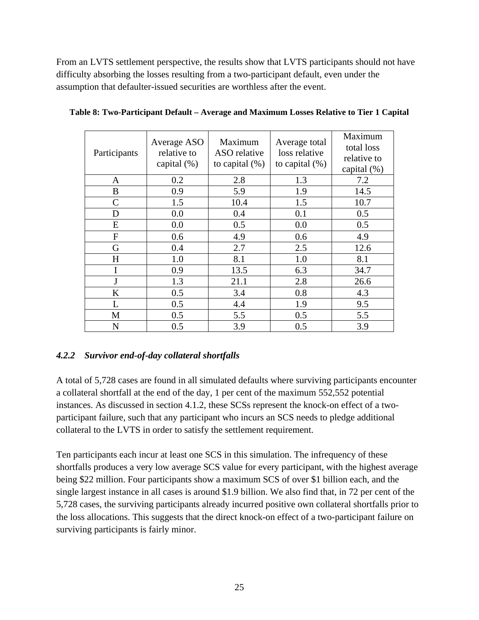From an LVTS settlement perspective, the results show that LVTS participants should not have difficulty absorbing the losses resulting from a two-participant default, even under the assumption that defaulter-issued securities are worthless after the event.

| Participants   | Average ASO<br>relative to<br>capital $(\%)$ | Maximum<br>ASO relative<br>to capital $(\%)$ | Average total<br>loss relative<br>to capital $(\%)$ | Maximum<br>total loss<br>relative to<br>capital $(\%)$ |
|----------------|----------------------------------------------|----------------------------------------------|-----------------------------------------------------|--------------------------------------------------------|
| A              | 0.2                                          | 2.8                                          | 1.3                                                 | 7.2                                                    |
| B              | 0.9                                          | 5.9                                          | 1.9                                                 | 14.5                                                   |
| $\overline{C}$ | 1.5                                          | 10.4                                         | 1.5                                                 | 10.7                                                   |
| D              | 0.0                                          | 0.4                                          | 0.1                                                 | 0.5                                                    |
| E              | 0.0                                          | 0.5                                          | 0.0                                                 | 0.5                                                    |
| F              | 0.6                                          | 4.9                                          | 0.6                                                 | 4.9                                                    |
| G              | 0.4                                          | 2.7                                          | 2.5                                                 | 12.6                                                   |
| H              | 1.0                                          | 8.1                                          | 1.0                                                 | 8.1                                                    |
| I              | 0.9                                          | 13.5                                         | 6.3                                                 | 34.7                                                   |
| $\mathbf{J}$   | 1.3                                          | 21.1                                         | 2.8                                                 | 26.6                                                   |
| K              | 0.5                                          | 3.4                                          | 0.8                                                 | 4.3                                                    |
| L              | 0.5                                          | 4.4                                          | 1.9                                                 | 9.5                                                    |
| M              | 0.5                                          | 5.5                                          | 0.5                                                 | 5.5                                                    |
| N              | 0.5                                          | 3.9                                          | 0.5                                                 | 3.9                                                    |

**Table 8: Two-Participant Default – Average and Maximum Losses Relative to Tier 1 Capital** 

#### *4.2.2 Survivor end-of-day collateral shortfalls*

A total of 5,728 cases are found in all simulated defaults where surviving participants encounter a collateral shortfall at the end of the day, 1 per cent of the maximum 552,552 potential instances. As discussed in section 4.1.2, these SCSs represent the knock-on effect of a twoparticipant failure, such that any participant who incurs an SCS needs to pledge additional collateral to the LVTS in order to satisfy the settlement requirement.

Ten participants each incur at least one SCS in this simulation. The infrequency of these shortfalls produces a very low average SCS value for every participant, with the highest average being \$22 million. Four participants show a maximum SCS of over \$1 billion each, and the single largest instance in all cases is around \$1.9 billion. We also find that, in 72 per cent of the 5,728 cases, the surviving participants already incurred positive own collateral shortfalls prior to the loss allocations. This suggests that the direct knock-on effect of a two-participant failure on surviving participants is fairly minor.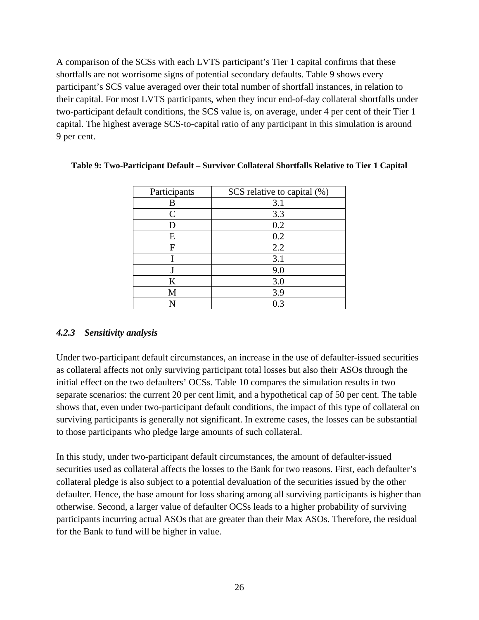A comparison of the SCSs with each LVTS participant's Tier 1 capital confirms that these shortfalls are not worrisome signs of potential secondary defaults. Table 9 shows every participant's SCS value averaged over their total number of shortfall instances, in relation to their capital. For most LVTS participants, when they incur end-of-day collateral shortfalls under two-participant default conditions, the SCS value is, on average, under 4 per cent of their Tier 1 capital. The highest average SCS-to-capital ratio of any participant in this simulation is around 9 per cent.

| Participants | SCS relative to capital $(\%)$ |
|--------------|--------------------------------|
| В            | 3.1                            |
| C            | 3.3                            |
|              | 0.2                            |
| Ε            | 0.2                            |
| F            | 2.2                            |
|              | 3.1                            |
|              | 9.0                            |
| K            | 3.0                            |
| M            | 3.9                            |
|              | 0.3                            |

**Table 9: Two-Participant Default – Survivor Collateral Shortfalls Relative to Tier 1 Capital** 

#### *4.2.3 Sensitivity analysis*

Under two-participant default circumstances, an increase in the use of defaulter-issued securities as collateral affects not only surviving participant total losses but also their ASOs through the initial effect on the two defaulters' OCSs. Table 10 compares the simulation results in two separate scenarios: the current 20 per cent limit, and a hypothetical cap of 50 per cent. The table shows that, even under two-participant default conditions, the impact of this type of collateral on surviving participants is generally not significant. In extreme cases, the losses can be substantial to those participants who pledge large amounts of such collateral.

In this study, under two-participant default circumstances, the amount of defaulter-issued securities used as collateral affects the losses to the Bank for two reasons. First, each defaulter's collateral pledge is also subject to a potential devaluation of the securities issued by the other defaulter. Hence, the base amount for loss sharing among all surviving participants is higher than otherwise. Second, a larger value of defaulter OCSs leads to a higher probability of surviving participants incurring actual ASOs that are greater than their Max ASOs. Therefore, the residual for the Bank to fund will be higher in value.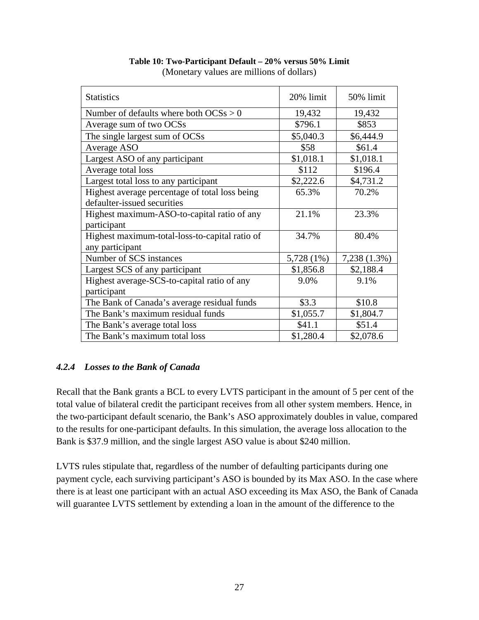| <b>Statistics</b>                              | 20% limit  | 50% limit    |
|------------------------------------------------|------------|--------------|
| Number of defaults where both $OCSs > 0$       | 19,432     | 19,432       |
| Average sum of two OCSs                        | \$796.1    | \$853        |
| The single largest sum of OCSs                 | \$5,040.3  | \$6,444.9    |
| Average ASO                                    | \$58       | \$61.4       |
| Largest ASO of any participant                 | \$1,018.1  | \$1,018.1    |
| Average total loss                             | \$112      | \$196.4      |
| Largest total loss to any participant          | \$2,222.6  | \$4,731.2    |
| Highest average percentage of total loss being | 65.3%      | 70.2%        |
| defaulter-issued securities                    |            |              |
| Highest maximum-ASO-to-capital ratio of any    | 21.1%      | 23.3%        |
| participant                                    |            |              |
| Highest maximum-total-loss-to-capital ratio of | 34.7%      | 80.4%        |
| any participant                                |            |              |
| Number of SCS instances                        | 5,728 (1%) | 7,238 (1.3%) |
| Largest SCS of any participant                 | \$1,856.8  | \$2,188.4    |
| Highest average-SCS-to-capital ratio of any    | 9.0%       | 9.1%         |
| participant                                    |            |              |
| The Bank of Canada's average residual funds    | \$3.3      | \$10.8       |
| The Bank's maximum residual funds              | \$1,055.7  | \$1,804.7    |
| The Bank's average total loss                  | \$41.1     | \$51.4       |
| The Bank's maximum total loss                  | \$1,280.4  | \$2,078.6    |

**Table 10: Two-Participant Default – 20% versus 50% Limit**  (Monetary values are millions of dollars)

#### *4.2.4 Losses to the Bank of Canada*

Recall that the Bank grants a BCL to every LVTS participant in the amount of 5 per cent of the total value of bilateral credit the participant receives from all other system members. Hence, in the two-participant default scenario, the Bank's ASO approximately doubles in value, compared to the results for one-participant defaults. In this simulation, the average loss allocation to the Bank is \$37.9 million, and the single largest ASO value is about \$240 million.

LVTS rules stipulate that, regardless of the number of defaulting participants during one payment cycle, each surviving participant's ASO is bounded by its Max ASO. In the case where there is at least one participant with an actual ASO exceeding its Max ASO, the Bank of Canada will guarantee LVTS settlement by extending a loan in the amount of the difference to the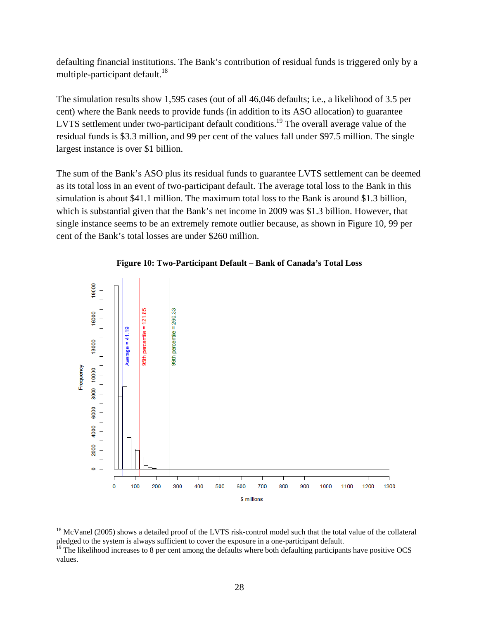defaulting financial institutions. The Bank's contribution of residual funds is triggered only by a multiple-participant default.<sup>18</sup>

The simulation results show 1,595 cases (out of all 46,046 defaults; i.e., a likelihood of 3.5 per cent) where the Bank needs to provide funds (in addition to its ASO allocation) to guarantee LVTS settlement under two-participant default conditions.<sup>19</sup> The overall average value of the residual funds is \$3.3 million, and 99 per cent of the values fall under \$97.5 million. The single largest instance is over \$1 billion.

The sum of the Bank's ASO plus its residual funds to guarantee LVTS settlement can be deemed as its total loss in an event of two-participant default. The average total loss to the Bank in this simulation is about \$41.1 million. The maximum total loss to the Bank is around \$1.3 billion, which is substantial given that the Bank's net income in 2009 was \$1.3 billion. However, that single instance seems to be an extremely remote outlier because, as shown in Figure 10, 99 per cent of the Bank's total losses are under \$260 million.



#### **Figure 10: Two-Participant Default – Bank of Canada's Total Loss**

 $\overline{a}$ 

<sup>&</sup>lt;sup>18</sup> McVanel (2005) shows a detailed proof of the LVTS risk-control model such that the total value of the collateral pledged to the system is always sufficient to cover the exposure in a one-participant default.

 $19$  The likelihood increases to 8 per cent among the defaults where both defaulting participants have positive OCS values.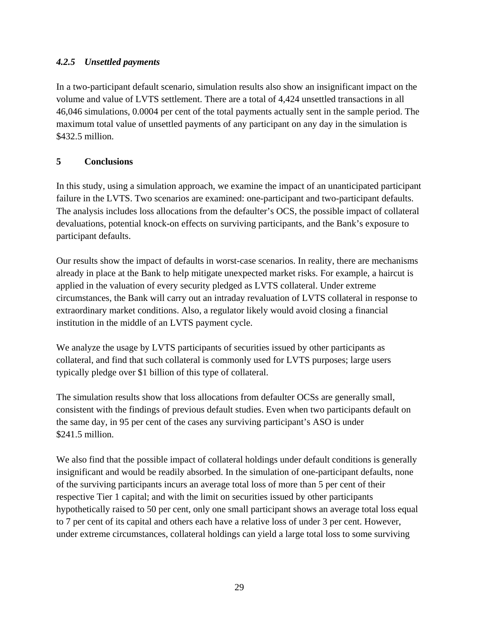## *4.2.5 Unsettled payments*

In a two-participant default scenario, simulation results also show an insignificant impact on the volume and value of LVTS settlement. There are a total of 4,424 unsettled transactions in all 46,046 simulations, 0.0004 per cent of the total payments actually sent in the sample period. The maximum total value of unsettled payments of any participant on any day in the simulation is \$432.5 million.

#### **5 Conclusions**

In this study, using a simulation approach, we examine the impact of an unanticipated participant failure in the LVTS. Two scenarios are examined: one-participant and two-participant defaults. The analysis includes loss allocations from the defaulter's OCS, the possible impact of collateral devaluations, potential knock-on effects on surviving participants, and the Bank's exposure to participant defaults.

Our results show the impact of defaults in worst-case scenarios. In reality, there are mechanisms already in place at the Bank to help mitigate unexpected market risks. For example, a haircut is applied in the valuation of every security pledged as LVTS collateral. Under extreme circumstances, the Bank will carry out an intraday revaluation of LVTS collateral in response to extraordinary market conditions. Also, a regulator likely would avoid closing a financial institution in the middle of an LVTS payment cycle.

We analyze the usage by LVTS participants of securities issued by other participants as collateral, and find that such collateral is commonly used for LVTS purposes; large users typically pledge over \$1 billion of this type of collateral.

The simulation results show that loss allocations from defaulter OCSs are generally small, consistent with the findings of previous default studies. Even when two participants default on the same day, in 95 per cent of the cases any surviving participant's ASO is under \$241.5 million.

We also find that the possible impact of collateral holdings under default conditions is generally insignificant and would be readily absorbed. In the simulation of one-participant defaults, none of the surviving participants incurs an average total loss of more than 5 per cent of their respective Tier 1 capital; and with the limit on securities issued by other participants hypothetically raised to 50 per cent, only one small participant shows an average total loss equal to 7 per cent of its capital and others each have a relative loss of under 3 per cent. However, under extreme circumstances, collateral holdings can yield a large total loss to some surviving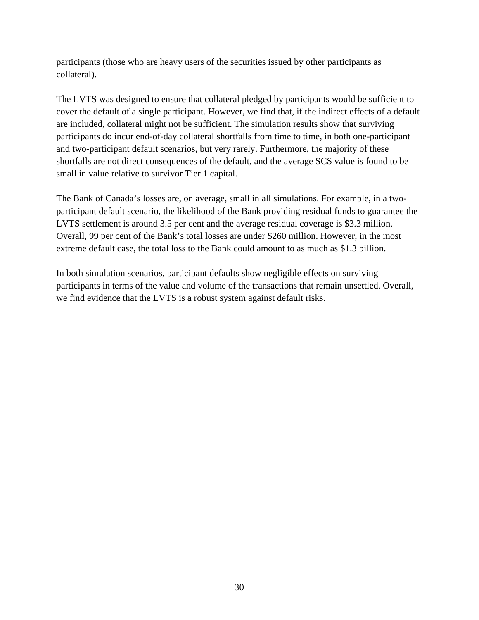participants (those who are heavy users of the securities issued by other participants as collateral).

The LVTS was designed to ensure that collateral pledged by participants would be sufficient to cover the default of a single participant. However, we find that, if the indirect effects of a default are included, collateral might not be sufficient. The simulation results show that surviving participants do incur end-of-day collateral shortfalls from time to time, in both one-participant and two-participant default scenarios, but very rarely. Furthermore, the majority of these shortfalls are not direct consequences of the default, and the average SCS value is found to be small in value relative to survivor Tier 1 capital.

The Bank of Canada's losses are, on average, small in all simulations. For example, in a twoparticipant default scenario, the likelihood of the Bank providing residual funds to guarantee the LVTS settlement is around 3.5 per cent and the average residual coverage is \$3.3 million. Overall, 99 per cent of the Bank's total losses are under \$260 million. However, in the most extreme default case, the total loss to the Bank could amount to as much as \$1.3 billion.

In both simulation scenarios, participant defaults show negligible effects on surviving participants in terms of the value and volume of the transactions that remain unsettled. Overall, we find evidence that the LVTS is a robust system against default risks.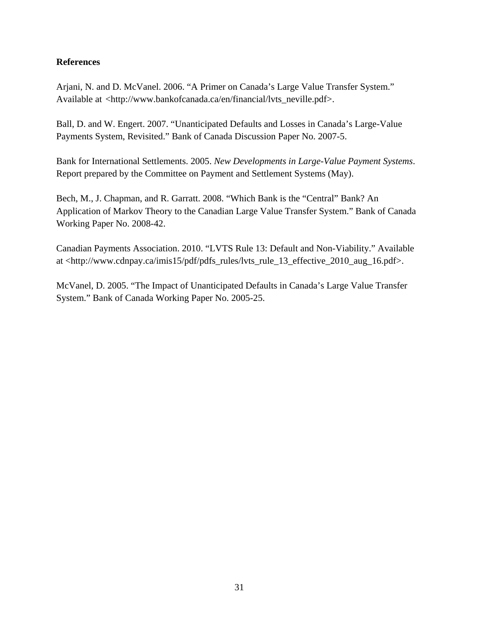#### **References**

Arjani, N. and D. McVanel. 2006. "A Primer on Canada's Large Value Transfer System." Available at <http://www.bankofcanada.ca/en/financial/lvts\_neville.pdf>.

Ball, D. and W. Engert. 2007. "Unanticipated Defaults and Losses in Canada's Large-Value Payments System, Revisited." Bank of Canada Discussion Paper No. 2007-5.

Bank for International Settlements. 2005. *New Developments in Large-Value Payment Systems*. Report prepared by the Committee on Payment and Settlement Systems (May).

Bech, M., J. Chapman, and R. Garratt. 2008. "Which Bank is the "Central" Bank? An Application of Markov Theory to the Canadian Large Value Transfer System." Bank of Canada Working Paper No. 2008-42.

Canadian Payments Association. 2010. "LVTS Rule 13: Default and Non-Viability." Available at <http://www.cdnpay.ca/imis15/pdf/pdfs\_rules/lvts\_rule\_13\_effective\_2010\_aug\_16.pdf>.

McVanel, D. 2005. "The Impact of Unanticipated Defaults in Canada's Large Value Transfer System." Bank of Canada Working Paper No. 2005-25.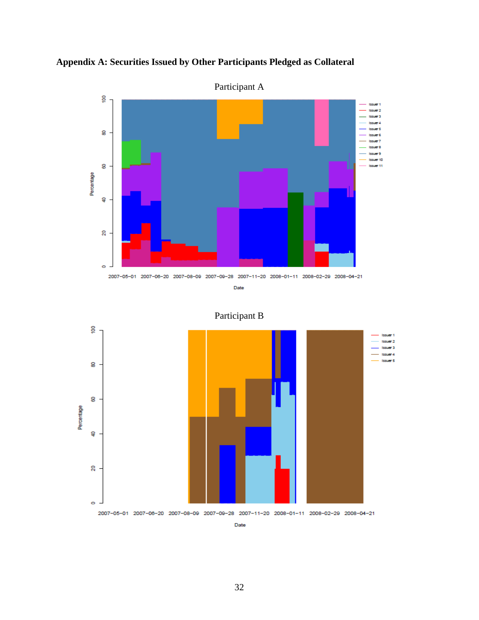

**Appendix A: Securities Issued by Other Participants Pledged as Collateral** 

Participant B



Date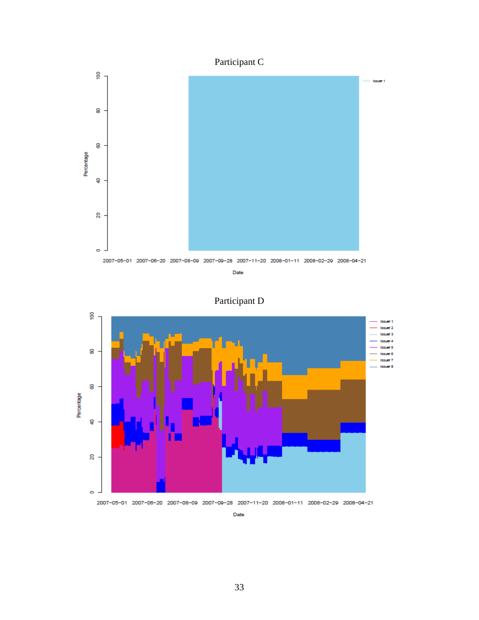## Participant C



Participant D



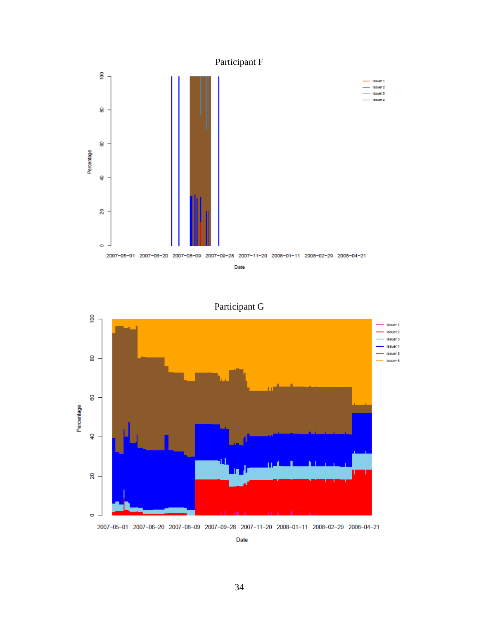

Participant G



2007-05-01 2007-06-20 2007-08-09 2007-09-28 2007-11-20 2008-01-11 2008-02-29 2008-04-21

Date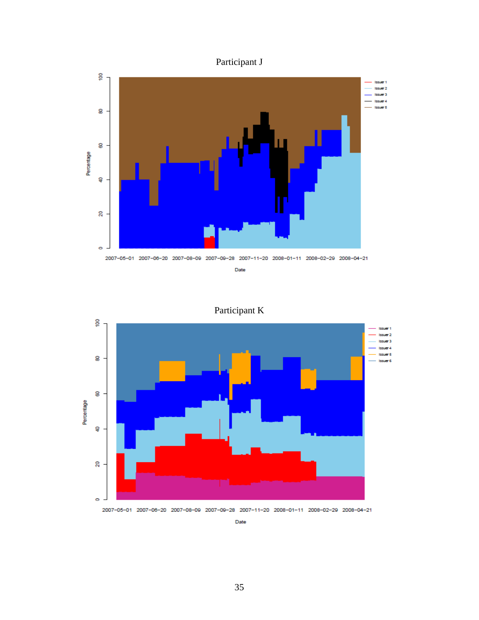



Participant K



2007-05-01 2007-06-20 2007-08-09 2007-09-28 2007-11-20 2008-01-11 2008-02-29 2008-04-21

Date